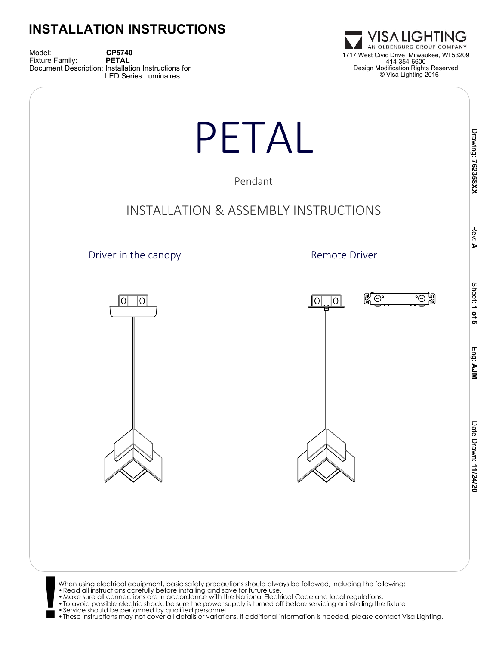Model: **CP5740**<br>Fixture Family: **PETAL** Document Description: Installation Instructions for LED Series Luminaires





- 
- 

•These instructions may not cover all details or variations. If additional information is needed, please contact Visa Lighting.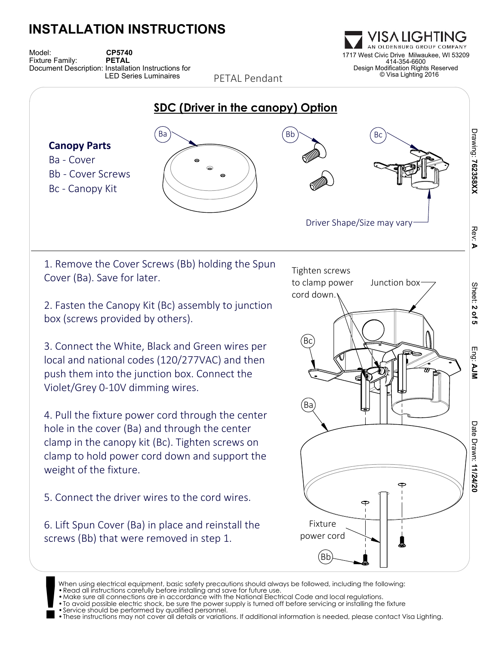Model: **CP5740**<br>Fixture Family: **CPETAL** Document Description: Installation Instructions for LED Series Luminaires

OLDENBURG GROUP 1717 West Civic Drive Milwaukee, WI 53209 414-354-6600 Design Modification Rights Reserved © Visa Lighting 2016



PETAL Pendant

When using electrical equipment, basic safety precautions should always be followed, including the following:

<sup>•</sup>Read all instructions carefully before installing and save for future use.

**<sup>!</sup>** •Make sure all connections are in accordance with the National Electrical Code and local regulations. •To avoid possible electric shock, be sure the power supply is turned off before servicing or installing the fixture

<sup>•</sup>Service should be performed by qualified personnel.

<sup>•</sup>These instructions may not cover all details or variations. If additional information is needed, please contact Visa Lighting.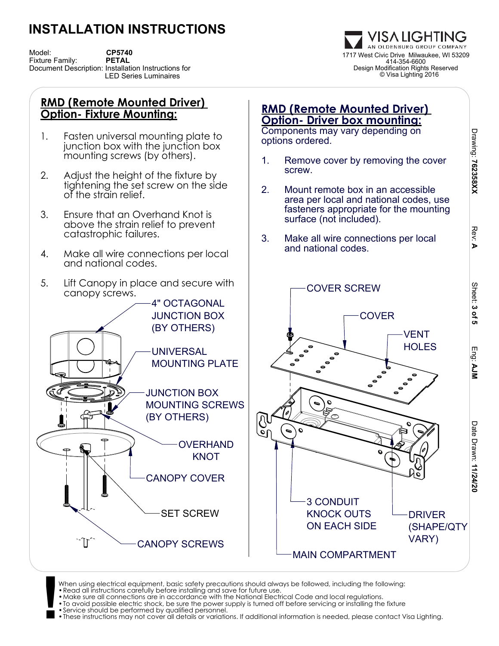Model: **CP5740**<br>Fixture Family: **CPETAL** Document Description: Installation Instructions for LED Series Luminaires

VISA LIGHTING AN OLDENBURG GROUP COMPANY 1717 West Civic Drive Milwaukee, WI 53209 414-354-6600 Design Modification Rights Reserved © Visa Lighting 2016

#### **RMD (Remote Mounted Driver) Option- Fixture Mounting:**

- 1. Fasten universal mounting plate to junction box with the junction box mounting screws (by others).
- 2. Adjust the height of the fixture by tightening the set screw on the side of the strain relief.
- 3. Ensure that an Overhand Knot is above the strain relief to prevent catastrophic failures.
- 4. Make all wire connections per local and national codes.
- 5. Lift Canopy in place and secure with canopy screws.



### **RMD (Remote Mounted Driver) Option- Driver box mounting:**

Components may vary depending on options ordered.

- 1. Remove cover by removing the cover screw.
- 2. Mount remote box in an accessible area per local and national codes, use fasteners appropriate for the mounting surface (not included).
- 3. Make all wire connections per local and national codes.



**!** When using electrical equipment, basic safety precautions should always be followed, including the following:<br>• Read all instructions carefully before installing and save for future use.<br>• Make sure all connections are in

- 
- •To avoid possible electric shock, be sure the power supply is turned off before servicing or installing the fixture •Service should be performed by qualified personnel.
- 

•These instructions may not cover all details or variations. If additional information is needed, please contact Visa Lighting.

 **AJM**

Date Drawn:

Date Drawn: 11/24/20

 **11/24/20**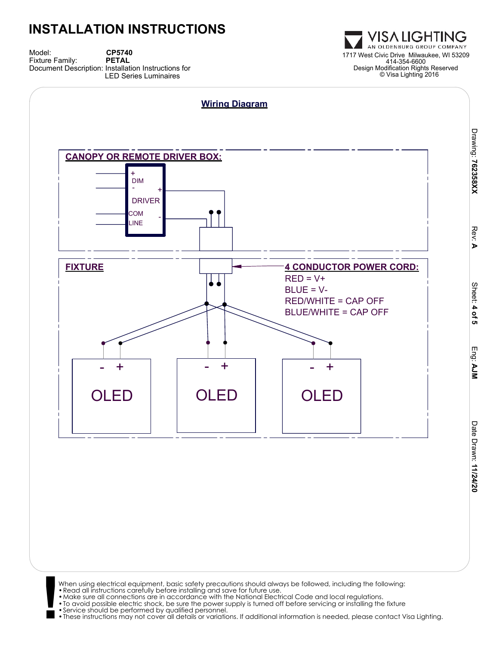Model: **CP5740**<br>Fixture Family: **PETAL** Document Description: Installation Instructions for LED Series Luminaires



When using electrical equipment, basic safety precautions should always be followed, including the following:<br>• Read all instructions carefully before installing and save for future use.<br>• Make sure all connections are in

- 
- 
- 
- 
- •These instructions may not cover all details or variations. If additional information is needed, please contact Visa Lighting.

VISA LIGHTING OLDENBURG GROUP COMPANY 1717 West Civic Drive Milwaukee, WI 53209 414-354-6600 Design Modification Rights Reserved © Visa Lighting 2016